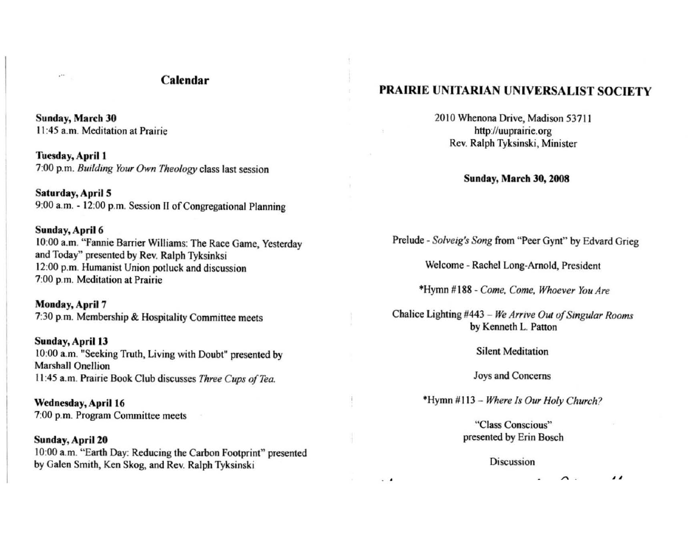## Calendar

Sunday, March 30 II :45 a.m. Meditation at Prairie

Tuesday, April 1 7:00 p.m. *Building Your Own Theology* class last session

Saturday, April 5 9:00 a. m. - 12:00 p.m. Session II of Congregational Planning

### Sunday, April 6

 $\epsilon^{++}$ 

10:00 a.m. "Fannie Barrier Williams: The Race Game, Yesterday and Today" presented by Rev. Ralph Tyksinksi 12:00 p.m. Humanist Union potluck and discussion 7:00 p.m. **Meditation at Prairie** 

Monday, April 7 7:30 p.m. Membership & Hospitality Committee meets

Sunday, April 13 10:00 a.m. "Seeking Truth, Living with Doubt" presented by Marshall Onellion 11:45 a.m. Prairie Book Club discusses *Three Cups of Tea.* 

Wednesday, April 16 7:00 p.m. **Program Committee meets** 

Sunday, April 20 10:00 a.m. "Earth Day: Reducing the Carbon Footprint" presented by Galen Smith, Ken Skog, and Rev. Ralph Tyksinski

# PRAIRIE UNITARIAN UNIVERSALIST SOCIETY

2010 Whenona Drive, Madison 53711 http://uuprairie.org Rev. Ralph Tyksinski, Minister

Sunday, March 30, 2008

Prelude - *Solveig's Song* from "Peer Gynt" by Edvard Grieg

Welcome - Rachel Long-Arnold, President

"Hymn # 188 - *Come, Come, Whoever You Are* 

Chalice Lighting #443 - *We Arrive OUI afSingular Rooms*  by Kenneth L. Patton

**Si lent Meditation** 

**Joys and Concerns** 

'Hymn # 11 3 - *Where Is Our Holy Church.>* 

**"Class Conscious"**  presented by Erin Bosch

#### **Discussion**

. ,

 $\prime\prime$  $\sim$